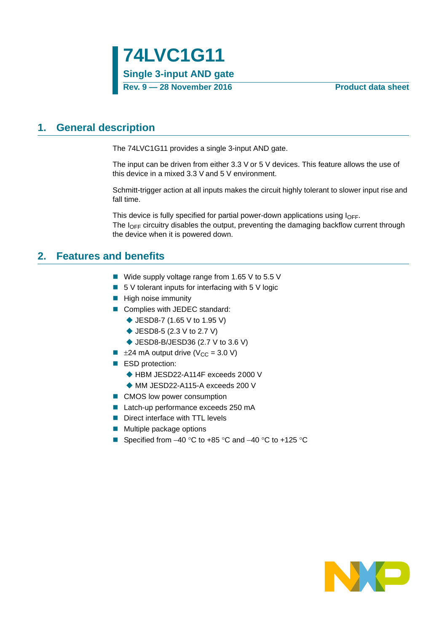### <span id="page-0-0"></span>**1. General description**

The 74LVC1G11 provides a single 3-input AND gate.

The input can be driven from either 3.3 V or 5 V devices. This feature allows the use of this device in a mixed 3.3 V and 5 V environment.

Schmitt-trigger action at all inputs makes the circuit highly tolerant to slower input rise and fall time.

This device is fully specified for partial power-down applications using  $I_{\text{OFF}}$ . The  $I_{\text{OFF}}$  circuitry disables the output, preventing the damaging backflow current through the device when it is powered down.

### <span id="page-0-1"></span>**2. Features and benefits**

- Wide supply voltage range from 1.65 V to 5.5 V
- $\blacksquare$  5 V tolerant inputs for interfacing with 5 V logic
- $\blacksquare$  High noise immunity
- Complies with JEDEC standard:
	- ◆ JESD8-7 (1.65 V to 1.95 V)
	- ◆ JESD8-5 (2.3 V to 2.7 V)
	- ◆ JESD8-B/JESD36 (2.7 V to 3.6 V)
- $\blacksquare$   $\pm$ 24 mA output drive (V<sub>CC</sub> = 3.0 V)
- ESD protection:
	- ◆ HBM JESD22-A114F exceeds 2000 V
	- ◆ MM JESD22-A115-A exceeds 200 V
- CMOS low power consumption
- Latch-up performance exceeds 250 mA
- Direct interface with TTL levels
- $\blacksquare$  Multiple package options
- Specified from  $-40$  °C to  $+85$  °C and  $-40$  °C to  $+125$  °C

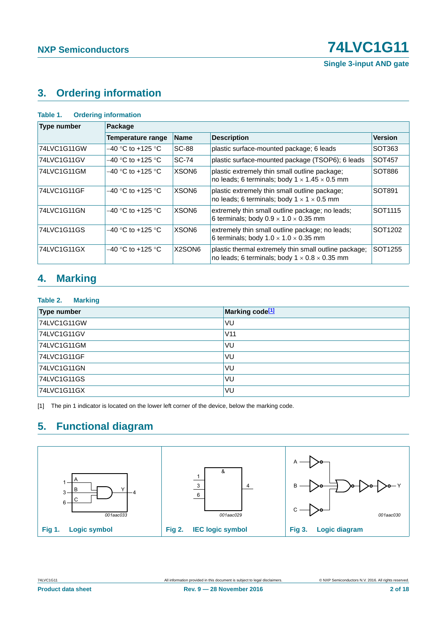# <span id="page-1-1"></span>**3. Ordering information**

| <b>Ordering information</b><br>Table 1. |                   |                                 |                                                                                                                    |                     |  |  |  |  |  |
|-----------------------------------------|-------------------|---------------------------------|--------------------------------------------------------------------------------------------------------------------|---------------------|--|--|--|--|--|
| <b>Type number</b>                      | Package           |                                 |                                                                                                                    |                     |  |  |  |  |  |
|                                         | Temperature range | <b>Name</b>                     | <b>Description</b>                                                                                                 | <b>Version</b>      |  |  |  |  |  |
| 74LVC1G11GW                             | –40 °C to +125 °C | <b>SC-88</b>                    | plastic surface-mounted package; 6 leads                                                                           | SOT <sub>363</sub>  |  |  |  |  |  |
| 74LVC1G11GV                             | –40 °C to +125 °C | <b>SC-74</b>                    | plastic surface-mounted package (TSOP6); 6 leads                                                                   | SOT457              |  |  |  |  |  |
| 74LVC1G11GM                             | –40 °C to +125 °C | XSON <sub>6</sub>               | plastic extremely thin small outline package;<br>no leads; 6 terminals; body $1 \times 1.45 \times 0.5$ mm         | SOT886              |  |  |  |  |  |
| 74LVC1G11GF                             | –40 °C to +125 °C | XSON <sub>6</sub>               | plastic extremely thin small outline package;<br>no leads; 6 terminals; body $1 \times 1 \times 0.5$ mm            | SOT891              |  |  |  |  |  |
| 74LVC1G11GN                             | –40 °C to +125 °C | XSON <sub>6</sub>               | extremely thin small outline package; no leads;<br>6 terminals; body $0.9 \times 1.0 \times 0.35$ mm               | SOT <sub>1115</sub> |  |  |  |  |  |
| 74LVC1G11GS                             | –40 °C to +125 °C | XSON <sub>6</sub>               | extremely thin small outline package; no leads;<br>6 terminals; body $1.0 \times 1.0 \times 0.35$ mm               | SOT1202             |  |  |  |  |  |
| 74LVC1G11GX                             | –40 °C to +125 °C | X <sub>2</sub> SON <sub>6</sub> | plastic thermal extremely thin small outline package;<br>no leads; 6 terminals; body $1 \times 0.8 \times 0.35$ mm | SOT1255             |  |  |  |  |  |

# <span id="page-1-2"></span>**4. Marking**

### **Table 2. Marking**

| Type number | Marking code <sup>[1]</sup> |
|-------------|-----------------------------|
| 74LVC1G11GW | VU                          |
| 74LVC1G11GV | V <sub>11</sub>             |
| 74LVC1G11GM | VU                          |
| 74LVC1G11GF | VU                          |
| 74LVC1G11GN | VU                          |
| 74LVC1G11GS | VU                          |
| 74LVC1G11GX | VU                          |

<span id="page-1-0"></span>[1] The pin 1 indicator is located on the lower left corner of the device, below the marking code.

# <span id="page-1-3"></span>**5. Functional diagram**

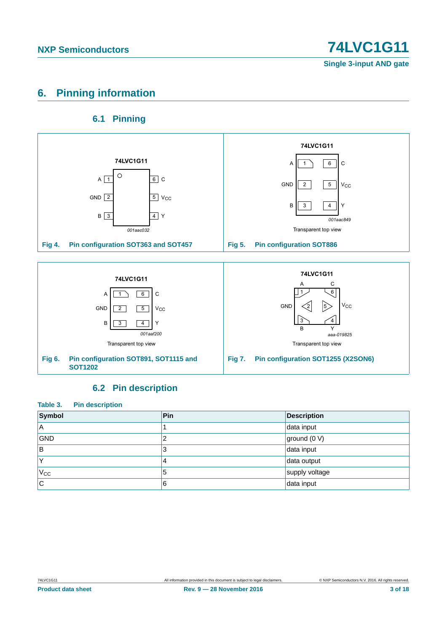# <span id="page-2-0"></span>**6. Pinning information**

### **6.1 Pinning**

<span id="page-2-1"></span>

### **6.2 Pin description**

<span id="page-2-2"></span>

| Table 3.<br><b>Pin description</b> |     |                    |  |  |  |
|------------------------------------|-----|--------------------|--|--|--|
| Symbol                             | Pin | <b>Description</b> |  |  |  |
| ΙA                                 |     | data input         |  |  |  |
| <b>GND</b>                         | 2   | ground (0 V)       |  |  |  |
| B                                  | 3   | data input         |  |  |  |
| Υ                                  | 4   | data output        |  |  |  |
| $V_{CC}$                           | 5   | supply voltage     |  |  |  |
| <b>C</b>                           | 6   | data input         |  |  |  |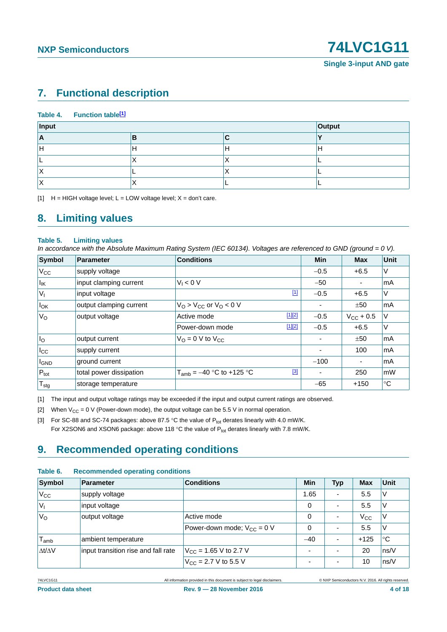# <span id="page-3-4"></span>**7. Functional description**

| Table 4. Function table <sup>[1]</sup> |   |   |        |
|----------------------------------------|---|---|--------|
| Input                                  |   |   | Output |
| ΙA                                     | в |   |        |
| п                                      | н | H | ۳      |
|                                        | ↗ |   |        |
| $\lambda$                              |   | ↗ |        |
| $\overline{\phantom{a}}$               | ⌒ |   |        |

<span id="page-3-0"></span> $[H]$  H = HIGH voltage level; L = LOW voltage level; X = don't care.

### <span id="page-3-5"></span>**8. Limiting values**

#### **Table 5. Limiting values**

*In accordance with the Absolute Maximum Rating System (IEC 60134). Voltages are referenced to GND (ground = 0 V).*

| Symbol                       | Parameter               | <b>Conditions</b>                     |             | <b>Min</b> | <b>Max</b>         | Unit        |
|------------------------------|-------------------------|---------------------------------------|-------------|------------|--------------------|-------------|
| $V_{\rm CC}$                 | supply voltage          |                                       |             | $-0.5$     | $+6.5$             | $\vee$      |
| $\vert I_{\mathsf{IK}}\vert$ | input clamping current  | $V_1 < 0$ V                           |             | $-50$      |                    | <b>mA</b>   |
| $V_{I}$                      | input voltage           |                                       | $\boxed{1}$ | $-0.5$     | $+6.5$             | $\vee$      |
| $I_{OK}$                     | output clamping current | $VO > VCC$ or $VO < 0$ V              |             |            | ±50                | mA          |
| $V_{\rm O}$                  | output voltage          | Active mode                           | $[1][2]$    | $-0.5$     | $V_{\rm CC}$ + 0.5 | V           |
|                              |                         | Power-down mode                       | $[1][2]$    | $-0.5$     | $+6.5$             | $\vee$      |
| $I_{\rm O}$                  | output current          | $V_{\Omega} = 0$ V to $V_{\text{CC}}$ |             |            | ±50                | lmA         |
| $I_{\rm CC}$                 | supply current          |                                       |             | ۰          | 100                | lmA         |
| <b>I</b> GND                 | ground current          |                                       |             | $-100$     | ۰                  | <b>mA</b>   |
| $P_{\text{tot}}$             | total power dissipation | $T_{amb} = -40$ °C to +125 °C         | $[3]$       |            | 250                | mW          |
| ${\mathsf T}_{\textsf{stg}}$ | storage temperature     |                                       |             | $-65$      | $+150$             | $^{\circ}C$ |

<span id="page-3-1"></span>[1] The input and output voltage ratings may be exceeded if the input and output current ratings are observed.

<span id="page-3-2"></span>[2] When  $V_{CC} = 0$  V (Power-down mode), the output voltage can be 5.5 V in normal operation.

<span id="page-3-3"></span>[3] For SC-88 and SC-74 packages: above 87.5 °C the value of  $P_{tot}$  derates linearly with 4.0 mW/K. For X2SON6 and XSON6 package: above 118 °C the value of  $P_{tot}$  derates linearly with 7.8 mW/K.

### <span id="page-3-6"></span>**9. Recommended operating conditions**

| Symbol              | <b>Parameter</b>                    | <b>Conditions</b>                        | <b>Min</b> | <b>Typ</b>               | <b>Max</b>   | Unit        |  |
|---------------------|-------------------------------------|------------------------------------------|------------|--------------------------|--------------|-------------|--|
| $V_{\rm CC}$        | supply voltage                      |                                          | 1.65       | $\overline{\phantom{a}}$ | 5.5          | V           |  |
| V                   | input voltage                       |                                          | 0          | $\overline{\phantom{a}}$ | 5.5          | V           |  |
| $V_{\rm O}$         | output voltage                      | Active mode                              | 0          | $\overline{\phantom{a}}$ | $V_{\rm CC}$ | ΙV          |  |
|                     |                                     | Power-down mode; $V_{CC} = 0$ V          | 0          | $\overline{\phantom{a}}$ | 5.5          | V           |  |
| $I_{amb}$           | ambient temperature                 |                                          | $-40$      | $\overline{\phantom{a}}$ | $+125$       | $^{\circ}C$ |  |
| $\Delta t/\Delta V$ | input transition rise and fall rate | $V_{\text{CC}}$ = 1.65 V to 2.7 V        |            |                          | 20           | ns/V        |  |
|                     |                                     | $V_{\text{CC}} = 2.7 \text{ V}$ to 5.5 V |            | $\overline{\phantom{0}}$ | 10           | ns/V        |  |
|                     |                                     |                                          |            |                          |              |             |  |

#### **Table 6. Recommended operating conditions**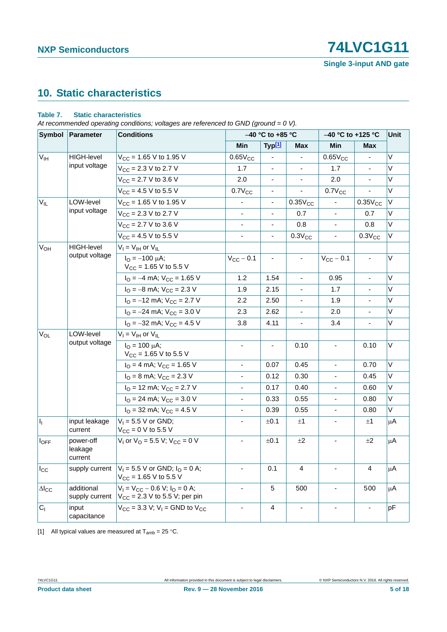# **NXP Semiconductors 12021**

**Single 3-input AND gate**

# <span id="page-4-2"></span>**10. Static characteristics**

### <span id="page-4-1"></span>**Table 7. Static characteristics**

*At recommended operating conditions; voltages are referenced to GND (ground = 0 V).*

|                       | Symbol Parameter                | <b>Conditions</b>                                                            |                          | -40 °C to +85 °C         |                          |                          | -40 °C to +125 °C            |         |
|-----------------------|---------------------------------|------------------------------------------------------------------------------|--------------------------|--------------------------|--------------------------|--------------------------|------------------------------|---------|
|                       |                                 |                                                                              | <b>Min</b>               | Typ <sup>[1]</sup>       | <b>Max</b>               | Min                      | <b>Max</b>                   |         |
| $V_{\text{IH}}$       | <b>HIGH-level</b>               | $V_{CC}$ = 1.65 V to 1.95 V                                                  | $0.65V_{CC}$             |                          |                          | $0.65V_{CC}$             |                              | V       |
|                       | input voltage                   | $V_{CC}$ = 2.3 V to 2.7 V                                                    | 1.7                      |                          | $\overline{\phantom{a}}$ | 1.7                      | $\qquad \qquad \blacksquare$ | V       |
|                       |                                 | $V_{CC}$ = 2.7 V to 3.6 V                                                    | 2.0                      | $\blacksquare$           | $\blacksquare$           | 2.0                      |                              | V       |
|                       |                                 | $V_{CC}$ = 4.5 V to 5.5 V                                                    | $0.7V_{CC}$              |                          | ÷,                       | $0.7V_{CC}$              |                              | $\vee$  |
| $V_{IL}$              | LOW-level                       | $V_{CC}$ = 1.65 V to 1.95 V                                                  |                          |                          | $0.35V_{CC}$             |                          | $0.35V_{CC}$                 | V       |
|                       | input voltage                   | $V_{CC}$ = 2.3 V to 2.7 V                                                    | $\overline{a}$           |                          | 0.7                      |                          | 0.7                          | $\vee$  |
|                       |                                 | $V_{CC}$ = 2.7 V to 3.6 V                                                    | ä,                       | $\overline{\phantom{a}}$ | 0.8                      |                          | 0.8                          | V       |
|                       |                                 | $V_{CC}$ = 4.5 V to 5.5 V                                                    | $\blacksquare$           | $\overline{\phantom{a}}$ | $0.3V_{CC}$              | $\blacksquare$           | $0.3V_{CC}$                  | V       |
| <b>V<sub>OH</sub></b> | <b>HIGH-level</b>               | $V_I = V_{IH}$ or $V_{IL}$                                                   |                          |                          |                          |                          |                              |         |
|                       | output voltage                  | $I_{\Omega} = -100 \mu A$ ;<br>$V_{CC}$ = 1.65 V to 5.5 V                    | $V_{CC}$ - 0.1           | $\blacksquare$           | $\blacksquare$           | $V_{CC}$ - 0.1           | $\overline{\phantom{a}}$     | $\vee$  |
|                       |                                 | $IO = -4 mA$ ; $VCC = 1.65 V$                                                | 1.2                      | 1.54                     | $\overline{\phantom{a}}$ | 0.95                     | $\overline{\phantom{a}}$     | V       |
|                       |                                 | $I_{\rm O}$ = -8 mA; $V_{\rm CC}$ = 2.3 V                                    | 1.9                      | 2.15                     | $\blacksquare$           | 1.7                      | ä,                           | V       |
|                       |                                 | $I_{\rm O}$ = -12 mA; $V_{\rm CC}$ = 2.7 V                                   | 2.2                      | 2.50                     | $\blacksquare$           | 1.9                      | $\blacksquare$               | V       |
|                       |                                 | $I_{\text{O}} = -24 \text{ mA}$ ; $V_{\text{CC}} = 3.0 \text{ V}$            | 2.3                      | 2.62                     | ÷,                       | 2.0                      |                              | $\vee$  |
|                       |                                 | $I_{\text{O}} = -32 \text{ mA}$ ; $V_{\text{CC}} = 4.5 \text{ V}$            | 3.8                      | 4.11                     |                          | 3.4                      |                              | $\vee$  |
| $V_{OL}$              | LOW-level                       | $V_I = V_{IH}$ or $V_{IL}$                                                   |                          |                          |                          |                          |                              |         |
|                       | output voltage                  | $I_{\text{O}} = 100 \mu\text{A}$ ;<br>$V_{CC}$ = 1.65 V to 5.5 V             | ÷,                       | $\blacksquare$           | 0.10                     | $\blacksquare$           | 0.10                         | V       |
|                       |                                 | $IO = 4 mA$ ; $VCC = 1.65 V$                                                 |                          | 0.07                     | 0.45                     |                          | 0.70                         | $\vee$  |
|                       |                                 | $IO = 8$ mA; $VCC = 2.3$ V                                                   | $\overline{\phantom{0}}$ | 0.12                     | 0.30                     |                          | 0.45                         | V       |
|                       |                                 | $IO$ = 12 mA; $VCC$ = 2.7 V                                                  | $\blacksquare$           | 0.17                     | 0.40                     | $\blacksquare$           | 0.60                         | V       |
|                       |                                 | $I_{\text{O}}$ = 24 mA; $V_{\text{CC}}$ = 3.0 V                              | $\frac{1}{2}$            | 0.33                     | 0.55                     | $\blacksquare$           | 0.80                         | V       |
|                       |                                 | $IO = 32$ mA; $VCC = 4.5$ V                                                  | $\blacksquare$           | 0.39                     | 0.55                     | $\blacksquare$           | 0.80                         | V       |
| h.                    | input leakage<br>current        | $V_1 = 5.5 V$ or GND;<br>$V_{CC} = 0 V$ to 5.5 V                             | ÷,                       | ±0.1                     | ±1                       |                          | ±1                           | μA      |
| $I_{OFF}$             | power-off<br>leakage<br>current | $V_1$ or $V_0$ = 5.5 V; $V_{CC}$ = 0 V                                       | $\overline{\phantom{a}}$ | ±0.1                     | ±2                       | $\blacksquare$           | ±2                           | μA      |
| $I_{\rm CC}$          | supply current                  | $V_1 = 5.5$ V or GND; $I_Q = 0$ A;<br>$V_{CC}$ = 1.65 V to 5.5 V             | $\overline{\phantom{a}}$ | 0.1                      | 4                        |                          | 4                            | $\mu$ A |
| $\Delta I_{CC}$       | additional<br>supply current    | $V_1 = V_{CC} - 0.6 V$ ; $I_Q = 0 A$ ;<br>$V_{CC}$ = 2.3 V to 5.5 V; per pin | $\blacksquare$           | 5                        | 500                      | $\overline{\phantom{a}}$ | 500                          | μA      |
| C <sub>1</sub>        | input<br>capacitance            | $V_{CC}$ = 3.3 V; V <sub>I</sub> = GND to V <sub>CC</sub>                    | $\blacksquare$           | 4                        | $\blacksquare$           |                          |                              | рF      |

<span id="page-4-0"></span>[1] All typical values are measured at  $T_{amb} = 25 \degree C$ .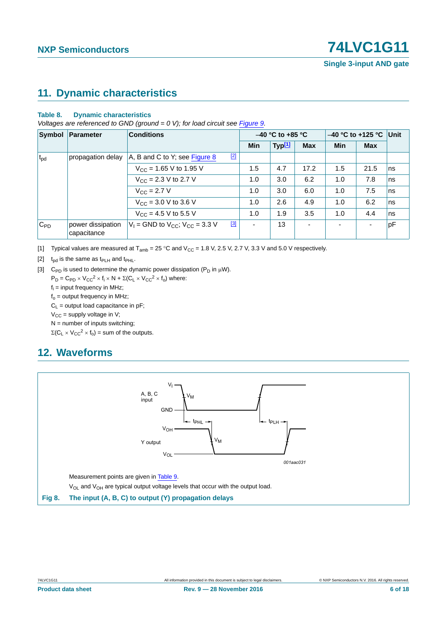### <span id="page-5-4"></span>**11. Dynamic characteristics**

### **Table 8. Dynamic characteristics**

*Voltages are referenced to GND (ground = 0 V); for load circuit see [Figure 9.](#page-6-0)* 

|              | Symbol Parameter                 | <b>Conditions</b>                                   |            | $-40$ °C to +85 °C |                |     | $-40$ °C to +125 °C | Unit |
|--------------|----------------------------------|-----------------------------------------------------|------------|--------------------|----------------|-----|---------------------|------|
|              |                                  |                                                     | <b>Min</b> | Typ <sup>[1]</sup> | <b>Max</b>     | Min | <b>Max</b>          |      |
| $t_{\rm pd}$ | propagation delay                | $[2]$<br>A, B and C to Y; see Figure 8              |            |                    |                |     |                     |      |
|              |                                  | $V_{\text{CC}}$ = 1.65 V to 1.95 V                  | 1.5        | 4.7                | 17.2           | 1.5 | 21.5                | ns   |
|              |                                  | $V_{CC}$ = 2.3 V to 2.7 V                           |            | 3.0                | 6.2            | 1.0 | 7.8                 | ns   |
|              |                                  | $V_{\text{CC}} = 2.7 V$                             | 1.0        | 3.0                | 6.0            | 1.0 | 7.5                 | ns   |
|              |                                  | $V_{CC}$ = 3.0 V to 3.6 V                           | 1.0        | 2.6                | 4.9            | 1.0 | 6.2                 | ns   |
|              |                                  | $V_{CC}$ = 4.5 V to 5.5 V                           | 1.0        | 1.9                | 3.5            | 1.0 | 4.4                 | ns   |
| $C_{PD}$     | power dissipation<br>capacitance | $[3]$<br>$V_1$ = GND to $V_{CC}$ ; $V_{CC}$ = 3.3 V |            | 13                 | $\blacksquare$ |     |                     | pF   |

<span id="page-5-0"></span>[1] Typical values are measured at  $T_{amb} = 25 \degree C$  and  $V_{CC} = 1.8 \text{ V}$ , 2.5 V, 2.7 V, 3.3 V and 5.0 V respectively.

<span id="page-5-2"></span>[2]  $t_{\rm od}$  is the same as  $t_{\rm PLH}$  and  $t_{\rm PHL}$ .

<span id="page-5-3"></span>[3] C<sub>PD</sub> is used to determine the dynamic power dissipation ( $P_D$  in  $\mu$ W).

 $P_D = C_{PD} \times V_{CC}^2 \times f_i \times N + \Sigma (C_L \times V_{CC}^2 \times f_o)$  where:

 $f_i$  = input frequency in MHz;

 $f_0$  = output frequency in MHz;

 $C_1$  = output load capacitance in pF;

 $V_{CC}$  = supply voltage in V;

 $N =$  number of inputs switching;

 $\Sigma(C_L \times V_{CC}^2 \times f_0)$  = sum of the outputs.

# <span id="page-5-5"></span>**12. Waveforms**

<span id="page-5-1"></span>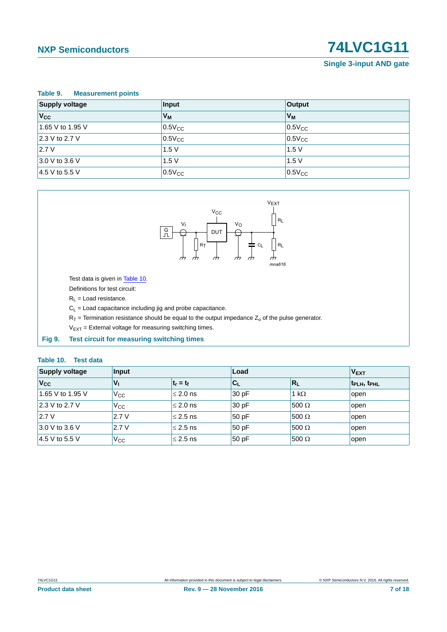# **NXP Semiconductors 12021**

**Single 3-input AND gate**

<span id="page-6-1"></span>

| Table 9.<br><b>Measurement points</b> |                |             |  |  |  |
|---------------------------------------|----------------|-------------|--|--|--|
| <b>Supply voltage</b>                 | Input          | Output      |  |  |  |
| $V_{\rm CC}$                          | V <sub>M</sub> | $V_M$       |  |  |  |
| 1.65 V to 1.95 V                      | $0.5V_{CC}$    | $0.5V_{CC}$ |  |  |  |
| 2.3 V to 2.7 V                        | $0.5V_{CC}$    | $0.5V_{CC}$ |  |  |  |
| 2.7V                                  | 1.5V           | 1.5V        |  |  |  |
| 3.0 V to 3.6 V                        | 1.5V           | 1.5V        |  |  |  |
| $4.5$ V to 5.5 V                      | $0.5V_{CC}$    | $0.5V_{CC}$ |  |  |  |



Test data is given in [Table 10.](#page-6-2)

Definitions for test circuit:

 $R_L$  = Load resistance.

 $C_L$  = Load capacitance including jig and probe capacitance.

 $R_T$  = Termination resistance should be equal to the output impedance  $Z_0$  of the pulse generator.

 $V_{EXT}$  = External voltage for measuring switching times.

<span id="page-6-0"></span>**Fig 9. Test circuit for measuring switching times**

#### <span id="page-6-2"></span>**Table 10. Test data**

| <b>Supply voltage</b> | Input          |               | Load     | $V_{EXT}$    |                                     |
|-----------------------|----------------|---------------|----------|--------------|-------------------------------------|
| Vcc                   | V <sub>I</sub> | $t_r = t_f$   | $ C_L $  | $R_L$        | t <sub>PLH</sub> , t <sub>PHL</sub> |
| 1.65 V to 1.95 V      | $V_{\rm CC}$   | $\leq$ 2.0 ns | $ 30$ pF | 1 k $\Omega$ | open                                |
| 2.3 V to 2.7 V        | $V_{\rm CC}$   | $\leq$ 2.0 ns | 30pF     | 500 $\Omega$ | open                                |
| 2.7V                  | 2.7V           | $\leq$ 2.5 ns | 50pF     | 500 $\Omega$ | open                                |
| $3.0 V$ to 3.6 V      | 2.7V           | $\leq$ 2.5 ns | 50pF     | $500 \Omega$ | open                                |
| 4.5 V to 5.5 V        | $V_{\rm CC}$   | $\leq$ 2.5 ns | 50 pF    | 500 $\Omega$ | open                                |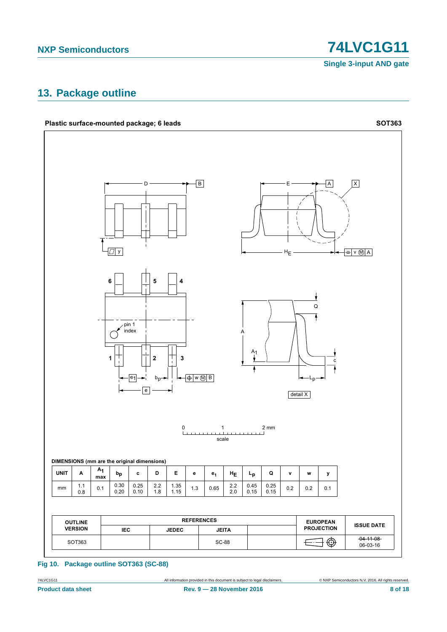**74LVC1G11** 

**Single 3-input AND gate** 

# <span id="page-7-0"></span>13. Package outline



Fig 10. Package outline SOT363 (SC-88)

74LVC1G11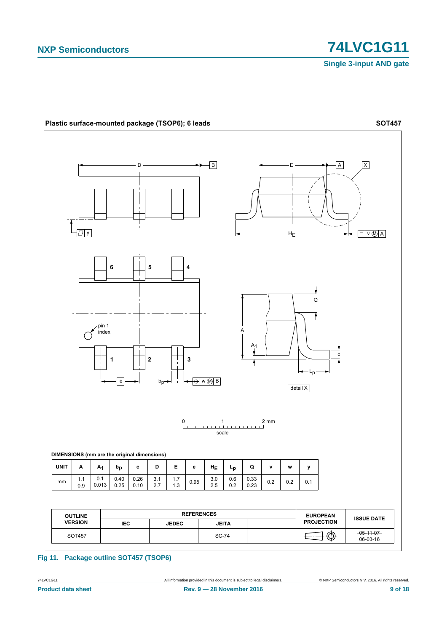

**Fig 11. Package outline SOT457 (TSOP6)**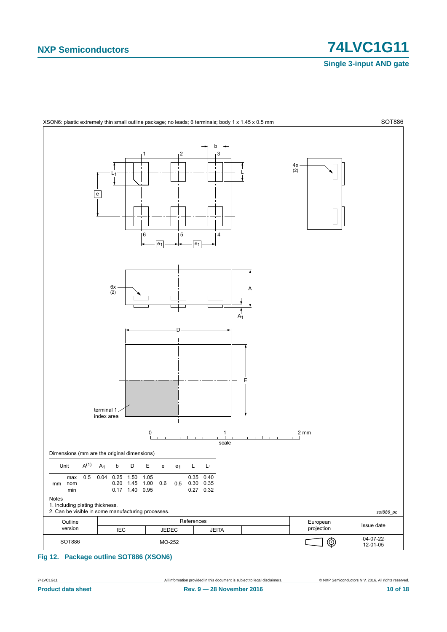

<span id="page-9-0"></span>**Fig 12. Package outline SOT886 (XSON6)**

**Product data sheet Rev. 9 — 28 November 2016 10 of 18**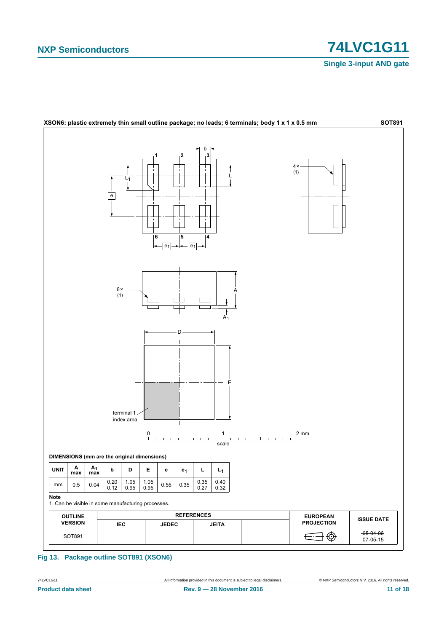

Fig 13. Package outline SOT891 (XSON6)

74LVC1G11 **Product data sheet**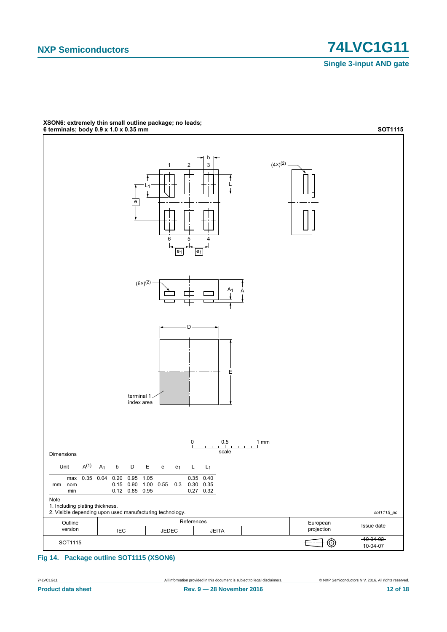

# XSON6: extremely thin small outline package; no leads;<br>6 terminals; body 0.9 x 1.0 x 0.35 mm

Fig 14. Package outline SOT1115 (XSON6)

74LVC1G11 **Product data sheet**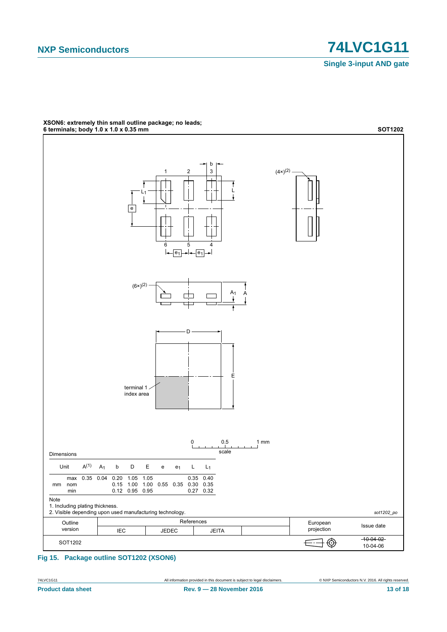

# XSON6: extremely thin small outline package; no leads;<br>6 terminals; body 1.0 x 1.0 x 0.35 mm

Fig 15. Package outline SOT1202 (XSON6)

74LVC1G11 **Product data sheet**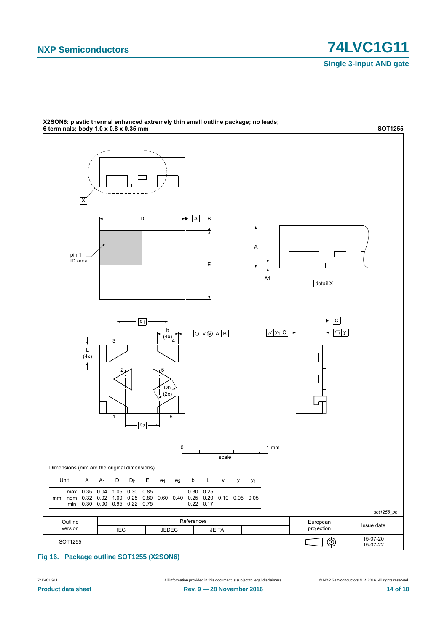

### X2SON6: plastic thermal enhanced extremely thin small outline package; no leads;

**Fig 16. Package outline SOT1255 (X2SON6)**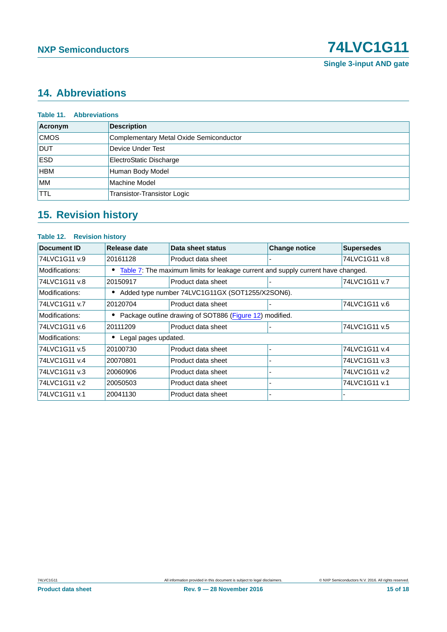

# <span id="page-14-0"></span>**14. Abbreviations**

| Acronym     | <b>Description</b>                      |
|-------------|-----------------------------------------|
| <b>CMOS</b> | Complementary Metal Oxide Semiconductor |
| <b>DUT</b>  | Device Under Test                       |
| <b>ESD</b>  | ElectroStatic Discharge                 |
| <b>HBM</b>  | Human Body Model                        |
| <b>MM</b>   | Machine Model                           |
| <b>TTL</b>  | Transistor-Transistor Logic             |

# <span id="page-14-1"></span>**15. Revision history**

| <b>Table 12. Revision history</b> |                                                 |                                                                                  |                      |                   |  |  |  |
|-----------------------------------|-------------------------------------------------|----------------------------------------------------------------------------------|----------------------|-------------------|--|--|--|
| Document ID                       | Release date                                    | Data sheet status                                                                | <b>Change notice</b> | <b>Supersedes</b> |  |  |  |
| 74LVC1G11 v.9                     | 20161128                                        | Product data sheet                                                               |                      | 74LVC1G11 v.8     |  |  |  |
| Modifications:                    | ٠                                               | Table 7: The maximum limits for leakage current and supply current have changed. |                      |                   |  |  |  |
| 74LVC1G11 v.8                     | 20150917                                        | Product data sheet                                                               |                      | 74LVC1G11 v.7     |  |  |  |
| Modifications:                    | Added type number 74LVC1G11GX (SOT1255/X2SON6). |                                                                                  |                      |                   |  |  |  |
| 74LVC1G11 v.7                     | 20120704                                        | Product data sheet                                                               |                      | 74LVC1G11 v.6     |  |  |  |
| Modifications:                    |                                                 | Package outline drawing of SOT886 (Figure 12) modified.                          |                      |                   |  |  |  |
| 74LVC1G11 v.6                     | 20111209                                        | Product data sheet                                                               |                      | 74LVC1G11 v.5     |  |  |  |
| Modifications:                    | Legal pages updated.                            |                                                                                  |                      |                   |  |  |  |
| 74LVC1G11 v.5                     | 20100730                                        | Product data sheet                                                               |                      | 74LVC1G11 v.4     |  |  |  |
| 74LVC1G11 v.4                     | 20070801                                        | Product data sheet                                                               |                      | 74LVC1G11 v.3     |  |  |  |
| 74LVC1G11 v.3                     | 20060906                                        | Product data sheet                                                               |                      | 74LVC1G11 v.2     |  |  |  |
| 74LVC1G11 v.2                     | 20050503                                        | Product data sheet                                                               |                      | 74LVC1G11 v.1     |  |  |  |
| 74LVC1G11 v.1                     | 20041130                                        | Product data sheet                                                               |                      |                   |  |  |  |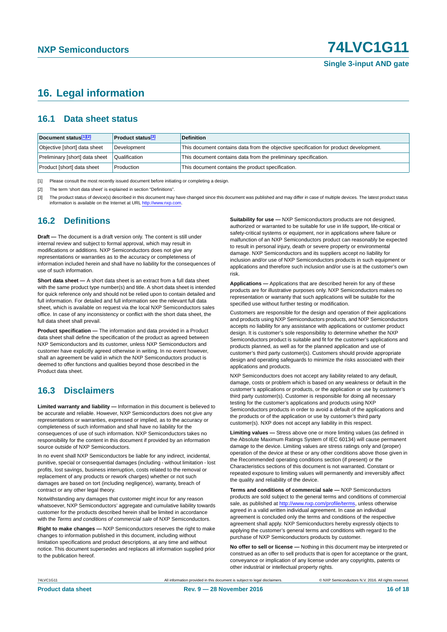### <span id="page-15-3"></span>**16. Legal information**

### <span id="page-15-4"></span>**16.1 Data sheet status**

| Document status[1][2]          | <b>Product status</b> <sup>[3]</sup> | <b>Definition</b>                                                                     |
|--------------------------------|--------------------------------------|---------------------------------------------------------------------------------------|
| Objective [short] data sheet   | Development                          | This document contains data from the objective specification for product development. |
| Preliminary [short] data sheet | Qualification                        | This document contains data from the preliminary specification.                       |
| Product [short] data sheet     | Production                           | This document contains the product specification.                                     |

<span id="page-15-0"></span>[1] Please consult the most recently issued document before initiating or completing a design.

<span id="page-15-1"></span>[2] The term 'short data sheet' is explained in section "Definitions".

<span id="page-15-2"></span>[3] The product status of device(s) described in this document may have changed since this document was published and may differ in case of multiple devices. The latest product status<br>information is available on the Intern

### <span id="page-15-5"></span>**16.2 Definitions**

**Draft —** The document is a draft version only. The content is still under internal review and subject to formal approval, which may result in modifications or additions. NXP Semiconductors does not give any representations or warranties as to the accuracy or completeness of information included herein and shall have no liability for the consequences of use of such information.

**Short data sheet —** A short data sheet is an extract from a full data sheet with the same product type number(s) and title. A short data sheet is intended for quick reference only and should not be relied upon to contain detailed and full information. For detailed and full information see the relevant full data sheet, which is available on request via the local NXP Semiconductors sales office. In case of any inconsistency or conflict with the short data sheet, the full data sheet shall prevail.

**Product specification —** The information and data provided in a Product data sheet shall define the specification of the product as agreed between NXP Semiconductors and its customer, unless NXP Semiconductors and customer have explicitly agreed otherwise in writing. In no event however, shall an agreement be valid in which the NXP Semiconductors product is deemed to offer functions and qualities beyond those described in the Product data sheet.

### <span id="page-15-6"></span>**16.3 Disclaimers**

**Limited warranty and liability —** Information in this document is believed to be accurate and reliable. However, NXP Semiconductors does not give any representations or warranties, expressed or implied, as to the accuracy or completeness of such information and shall have no liability for the consequences of use of such information. NXP Semiconductors takes no responsibility for the content in this document if provided by an information source outside of NXP Semiconductors.

In no event shall NXP Semiconductors be liable for any indirect, incidental, punitive, special or consequential damages (including - without limitation - lost profits, lost savings, business interruption, costs related to the removal or replacement of any products or rework charges) whether or not such damages are based on tort (including negligence), warranty, breach of contract or any other legal theory.

Notwithstanding any damages that customer might incur for any reason whatsoever, NXP Semiconductors' aggregate and cumulative liability towards customer for the products described herein shall be limited in accordance with the *Terms and conditions of commercial sale* of NXP Semiconductors.

**Right to make changes —** NXP Semiconductors reserves the right to make changes to information published in this document, including without limitation specifications and product descriptions, at any time and without notice. This document supersedes and replaces all information supplied prior to the publication hereof.

**Suitability for use —** NXP Semiconductors products are not designed, authorized or warranted to be suitable for use in life support, life-critical or safety-critical systems or equipment, nor in applications where failure or malfunction of an NXP Semiconductors product can reasonably be expected to result in personal injury, death or severe property or environmental damage. NXP Semiconductors and its suppliers accept no liability for inclusion and/or use of NXP Semiconductors products in such equipment or applications and therefore such inclusion and/or use is at the customer's own risk.

**Applications —** Applications that are described herein for any of these products are for illustrative purposes only. NXP Semiconductors makes no representation or warranty that such applications will be suitable for the specified use without further testing or modification.

Customers are responsible for the design and operation of their applications and products using NXP Semiconductors products, and NXP Semiconductors accepts no liability for any assistance with applications or customer product design. It is customer's sole responsibility to determine whether the NXP Semiconductors product is suitable and fit for the customer's applications and products planned, as well as for the planned application and use of customer's third party customer(s). Customers should provide appropriate design and operating safeguards to minimize the risks associated with their applications and products.

NXP Semiconductors does not accept any liability related to any default, damage, costs or problem which is based on any weakness or default in the customer's applications or products, or the application or use by customer's third party customer(s). Customer is responsible for doing all necessary testing for the customer's applications and products using NXP Semiconductors products in order to avoid a default of the applications and the products or of the application or use by customer's third party customer(s). NXP does not accept any liability in this respect.

**Limiting values —** Stress above one or more limiting values (as defined in the Absolute Maximum Ratings System of IEC 60134) will cause permanent damage to the device. Limiting values are stress ratings only and (proper) operation of the device at these or any other conditions above those given in the Recommended operating conditions section (if present) or the Characteristics sections of this document is not warranted. Constant or repeated exposure to limiting values will permanently and irreversibly affect the quality and reliability of the device.

**Terms and conditions of commercial sale —** NXP Semiconductors products are sold subject to the general terms and conditions of commercial sale, as published at<http://www.nxp.com/profile/terms>, unless otherwise agreed in a valid written individual agreement. In case an individual agreement is concluded only the terms and conditions of the respective agreement shall apply. NXP Semiconductors hereby expressly objects to applying the customer's general terms and conditions with regard to the purchase of NXP Semiconductors products by customer.

**No offer to sell or license —** Nothing in this document may be interpreted or construed as an offer to sell products that is open for acceptance or the grant, conveyance or implication of any license under any copyrights, patents or other industrial or intellectual property rights.

74LVC1G11 All information provided in this document is subject to legal disclaimers. © NXP Semiconductors N.V. 2016. All rights reserved.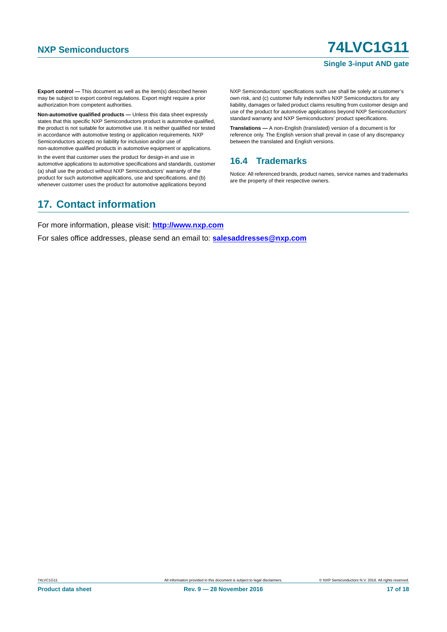# **NXP Semiconductors 74LVC1G11**

#### **Single 3-input AND gate**

**Export control —** This document as well as the item(s) described herein may be subject to export control regulations. Export might require a prior authorization from competent authorities.

**Non-automotive qualified products —** Unless this data sheet expressly states that this specific NXP Semiconductors product is automotive qualified, the product is not suitable for automotive use. It is neither qualified nor tested in accordance with automotive testing or application requirements. NXP Semiconductors accepts no liability for inclusion and/or use of non-automotive qualified products in automotive equipment or applications.

In the event that customer uses the product for design-in and use in automotive applications to automotive specifications and standards, customer (a) shall use the product without NXP Semiconductors' warranty of the product for such automotive applications, use and specifications, and (b) whenever customer uses the product for automotive applications beyond

NXP Semiconductors' specifications such use shall be solely at customer's own risk, and (c) customer fully indemnifies NXP Semiconductors for any liability, damages or failed product claims resulting from customer design and use of the product for automotive applications beyond NXP Semiconductors' standard warranty and NXP Semiconductors' product specifications.

**Translations —** A non-English (translated) version of a document is for reference only. The English version shall prevail in case of any discrepancy between the translated and English versions.

### <span id="page-16-0"></span>**16.4 Trademarks**

Notice: All referenced brands, product names, service names and trademarks are the property of their respective owners.

### <span id="page-16-1"></span>**17. Contact information**

For more information, please visit: **http://www.nxp.com**

For sales office addresses, please send an email to: **salesaddresses@nxp.com**